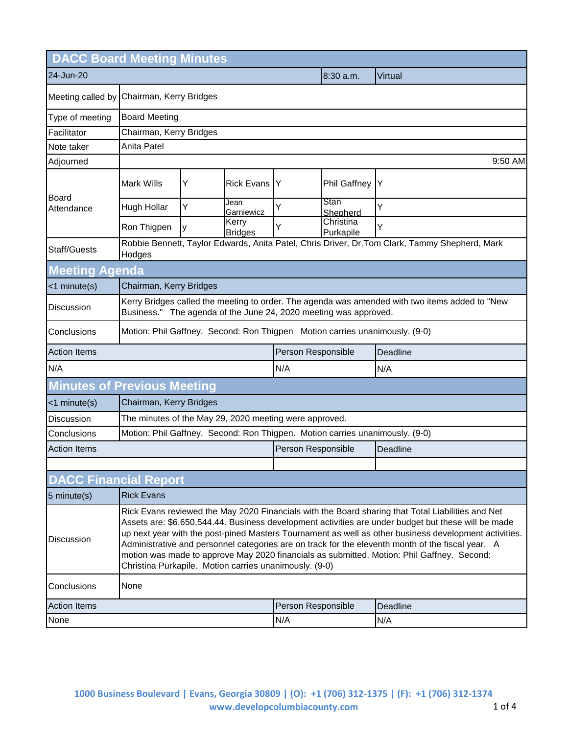| <b>DACC Board Meeting Minutes</b>  |                                                                                                                                                                                                                                                                                                                                                                                                                                                                                                                                                                                |                                                                                               |                         |     |                        |         |  |
|------------------------------------|--------------------------------------------------------------------------------------------------------------------------------------------------------------------------------------------------------------------------------------------------------------------------------------------------------------------------------------------------------------------------------------------------------------------------------------------------------------------------------------------------------------------------------------------------------------------------------|-----------------------------------------------------------------------------------------------|-------------------------|-----|------------------------|---------|--|
| 24-Jun-20                          |                                                                                                                                                                                                                                                                                                                                                                                                                                                                                                                                                                                |                                                                                               |                         |     | 8:30 a.m.              | Virtual |  |
|                                    | Meeting called by Chairman, Kerry Bridges                                                                                                                                                                                                                                                                                                                                                                                                                                                                                                                                      |                                                                                               |                         |     |                        |         |  |
| Type of meeting                    | <b>Board Meeting</b>                                                                                                                                                                                                                                                                                                                                                                                                                                                                                                                                                           |                                                                                               |                         |     |                        |         |  |
| Facilitator                        | Chairman, Kerry Bridges                                                                                                                                                                                                                                                                                                                                                                                                                                                                                                                                                        |                                                                                               |                         |     |                        |         |  |
| Note taker                         | Anita Patel                                                                                                                                                                                                                                                                                                                                                                                                                                                                                                                                                                    |                                                                                               |                         |     |                        |         |  |
| Adjourned                          | 9:50 AM                                                                                                                                                                                                                                                                                                                                                                                                                                                                                                                                                                        |                                                                                               |                         |     |                        |         |  |
| Board                              | <b>Mark Wills</b>                                                                                                                                                                                                                                                                                                                                                                                                                                                                                                                                                              | Υ                                                                                             | <b>Rick Evans</b>       | Y   | Phil Gaffney           | Y       |  |
| Attendance                         | Hugh Hollar                                                                                                                                                                                                                                                                                                                                                                                                                                                                                                                                                                    | Y                                                                                             | Jean<br>Garniewicz      | Ý   | Stan<br>Shepherd       | Ý       |  |
|                                    | Ron Thigpen                                                                                                                                                                                                                                                                                                                                                                                                                                                                                                                                                                    | y                                                                                             | Kerry<br><b>Bridges</b> | Y   | Christina<br>Purkapile | Y       |  |
| Staff/Guests                       | Hodges                                                                                                                                                                                                                                                                                                                                                                                                                                                                                                                                                                         | Robbie Bennett, Taylor Edwards, Anita Patel, Chris Driver, Dr.Tom Clark, Tammy Shepherd, Mark |                         |     |                        |         |  |
| <b>Meeting Agenda</b>              |                                                                                                                                                                                                                                                                                                                                                                                                                                                                                                                                                                                |                                                                                               |                         |     |                        |         |  |
| <1 minute(s)                       | Chairman, Kerry Bridges                                                                                                                                                                                                                                                                                                                                                                                                                                                                                                                                                        |                                                                                               |                         |     |                        |         |  |
| Discussion                         | Kerry Bridges called the meeting to order. The agenda was amended with two items added to "New<br>Business." The agenda of the June 24, 2020 meeting was approved.                                                                                                                                                                                                                                                                                                                                                                                                             |                                                                                               |                         |     |                        |         |  |
| Conclusions                        | Motion: Phil Gaffney. Second: Ron Thigpen Motion carries unanimously. (9-0)                                                                                                                                                                                                                                                                                                                                                                                                                                                                                                    |                                                                                               |                         |     |                        |         |  |
| <b>Action Items</b>                | Person Responsible<br>Deadline                                                                                                                                                                                                                                                                                                                                                                                                                                                                                                                                                 |                                                                                               |                         |     |                        |         |  |
| N/A                                |                                                                                                                                                                                                                                                                                                                                                                                                                                                                                                                                                                                |                                                                                               | N/A                     |     | N/A                    |         |  |
| <b>Minutes of Previous Meeting</b> |                                                                                                                                                                                                                                                                                                                                                                                                                                                                                                                                                                                |                                                                                               |                         |     |                        |         |  |
| $<$ 1 minute $(s)$                 | Chairman, Kerry Bridges                                                                                                                                                                                                                                                                                                                                                                                                                                                                                                                                                        |                                                                                               |                         |     |                        |         |  |
| Discussion                         | The minutes of the May 29, 2020 meeting were approved.                                                                                                                                                                                                                                                                                                                                                                                                                                                                                                                         |                                                                                               |                         |     |                        |         |  |
| Conclusions                        | Motion: Phil Gaffney. Second: Ron Thigpen. Motion carries unanimously. (9-0)                                                                                                                                                                                                                                                                                                                                                                                                                                                                                                   |                                                                                               |                         |     |                        |         |  |
| <b>Action Items</b>                |                                                                                                                                                                                                                                                                                                                                                                                                                                                                                                                                                                                |                                                                                               | Person Responsible      |     | Deadline               |         |  |
|                                    |                                                                                                                                                                                                                                                                                                                                                                                                                                                                                                                                                                                |                                                                                               |                         |     |                        |         |  |
| <b>DACC Financial Report</b>       |                                                                                                                                                                                                                                                                                                                                                                                                                                                                                                                                                                                |                                                                                               |                         |     |                        |         |  |
| 5 minute(s)                        | <b>Rick Evans</b>                                                                                                                                                                                                                                                                                                                                                                                                                                                                                                                                                              |                                                                                               |                         |     |                        |         |  |
| Discussion                         | Rick Evans reviewed the May 2020 Financials with the Board sharing that Total Liabilities and Net<br>Assets are: \$6,650,544.44. Business development activities are under budget but these will be made<br>up next year with the post-pined Masters Tournament as well as other business development activities.<br>Administrative and personnel categories are on track for the eleventh month of the fiscal year. A<br>motion was made to approve May 2020 financials as submitted. Motion: Phil Gaffney. Second:<br>Christina Purkapile. Motion carries unanimously. (9-0) |                                                                                               |                         |     |                        |         |  |
| Conclusions                        | None                                                                                                                                                                                                                                                                                                                                                                                                                                                                                                                                                                           |                                                                                               |                         |     |                        |         |  |
| <b>Action Items</b>                | Person Responsible<br>Deadline                                                                                                                                                                                                                                                                                                                                                                                                                                                                                                                                                 |                                                                                               |                         |     |                        |         |  |
| None                               |                                                                                                                                                                                                                                                                                                                                                                                                                                                                                                                                                                                |                                                                                               |                         | N/A |                        | N/A     |  |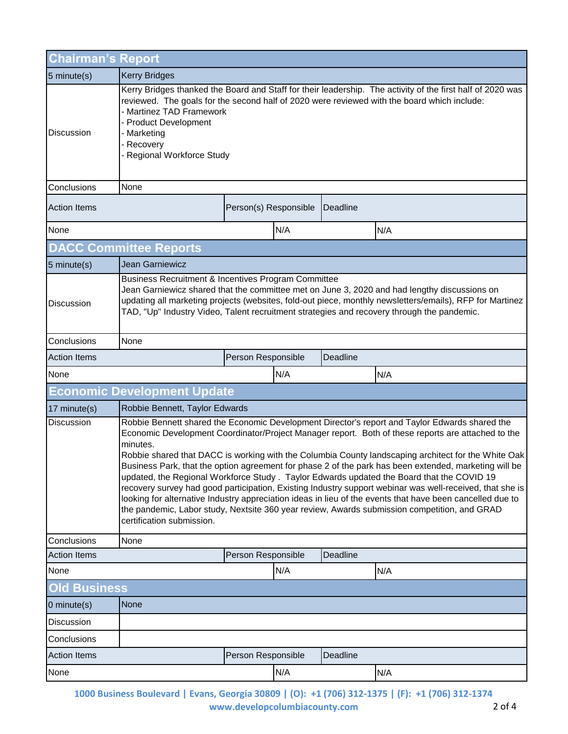| Chairman's Report           |                                                                                                                                                                                                                                                                                                                                                                                                                                                                                                                                                                                                                                                                                                                                                                                                                                                                                      |                       |     |          |     |  |
|-----------------------------|--------------------------------------------------------------------------------------------------------------------------------------------------------------------------------------------------------------------------------------------------------------------------------------------------------------------------------------------------------------------------------------------------------------------------------------------------------------------------------------------------------------------------------------------------------------------------------------------------------------------------------------------------------------------------------------------------------------------------------------------------------------------------------------------------------------------------------------------------------------------------------------|-----------------------|-----|----------|-----|--|
| 5 minute(s)                 | <b>Kerry Bridges</b>                                                                                                                                                                                                                                                                                                                                                                                                                                                                                                                                                                                                                                                                                                                                                                                                                                                                 |                       |     |          |     |  |
| <b>Discussion</b>           | Kerry Bridges thanked the Board and Staff for their leadership. The activity of the first half of 2020 was<br>reviewed. The goals for the second half of 2020 were reviewed with the board which include:<br><b>Martinez TAD Framework</b><br><b>Product Development</b><br>Marketing<br>Recovery<br><b>Regional Workforce Study</b>                                                                                                                                                                                                                                                                                                                                                                                                                                                                                                                                                 |                       |     |          |     |  |
| Conclusions                 | None                                                                                                                                                                                                                                                                                                                                                                                                                                                                                                                                                                                                                                                                                                                                                                                                                                                                                 |                       |     |          |     |  |
| <b>Action Items</b>         |                                                                                                                                                                                                                                                                                                                                                                                                                                                                                                                                                                                                                                                                                                                                                                                                                                                                                      | Person(s) Responsible |     | Deadline |     |  |
| None                        |                                                                                                                                                                                                                                                                                                                                                                                                                                                                                                                                                                                                                                                                                                                                                                                                                                                                                      | N/A                   |     |          | N/A |  |
|                             | <b>DACC Committee Reports</b>                                                                                                                                                                                                                                                                                                                                                                                                                                                                                                                                                                                                                                                                                                                                                                                                                                                        |                       |     |          |     |  |
| 5 minute(s)                 | <b>Jean Garniewicz</b>                                                                                                                                                                                                                                                                                                                                                                                                                                                                                                                                                                                                                                                                                                                                                                                                                                                               |                       |     |          |     |  |
| Discussion                  | Business Recruitment & Incentives Program Committee<br>Jean Garniewicz shared that the committee met on June 3, 2020 and had lengthy discussions on<br>updating all marketing projects (websites, fold-out piece, monthly newsletters/emails), RFP for Martinez<br>TAD, "Up" Industry Video, Talent recruitment strategies and recovery through the pandemic.                                                                                                                                                                                                                                                                                                                                                                                                                                                                                                                        |                       |     |          |     |  |
| Conclusions                 | None                                                                                                                                                                                                                                                                                                                                                                                                                                                                                                                                                                                                                                                                                                                                                                                                                                                                                 |                       |     |          |     |  |
| <b>Action Items</b>         | Person Responsible<br>Deadline                                                                                                                                                                                                                                                                                                                                                                                                                                                                                                                                                                                                                                                                                                                                                                                                                                                       |                       |     |          |     |  |
| None                        |                                                                                                                                                                                                                                                                                                                                                                                                                                                                                                                                                                                                                                                                                                                                                                                                                                                                                      | N/A                   |     |          | N/A |  |
|                             | <b>Economic Development Update</b>                                                                                                                                                                                                                                                                                                                                                                                                                                                                                                                                                                                                                                                                                                                                                                                                                                                   |                       |     |          |     |  |
| 17 minute(s)                | Robbie Bennett, Taylor Edwards                                                                                                                                                                                                                                                                                                                                                                                                                                                                                                                                                                                                                                                                                                                                                                                                                                                       |                       |     |          |     |  |
| Discussion                  | Robbie Bennett shared the Economic Development Director's report and Taylor Edwards shared the<br>Economic Development Coordinator/Project Manager report. Both of these reports are attached to the<br>minutes.<br>Robbie shared that DACC is working with the Columbia County landscaping architect for the White Oak<br>Business Park, that the option agreement for phase 2 of the park has been extended, marketing will be<br>updated, the Regional Workforce Study . Taylor Edwards updated the Board that the COVID 19<br>recovery survey had good participation, Existing Industry support webinar was well-received, that she is<br>looking for alternative Industry appreciation ideas in lieu of the events that have been cancelled due to<br>the pandemic, Labor study, Nextsite 360 year review, Awards submission competition, and GRAD<br>certification submission. |                       |     |          |     |  |
|                             |                                                                                                                                                                                                                                                                                                                                                                                                                                                                                                                                                                                                                                                                                                                                                                                                                                                                                      |                       |     |          |     |  |
| Conclusions                 | None                                                                                                                                                                                                                                                                                                                                                                                                                                                                                                                                                                                                                                                                                                                                                                                                                                                                                 |                       |     |          |     |  |
| <b>Action Items</b>         |                                                                                                                                                                                                                                                                                                                                                                                                                                                                                                                                                                                                                                                                                                                                                                                                                                                                                      | Person Responsible    |     | Deadline |     |  |
| None                        |                                                                                                                                                                                                                                                                                                                                                                                                                                                                                                                                                                                                                                                                                                                                                                                                                                                                                      |                       | N/A |          | N/A |  |
| <b>Old Business</b>         |                                                                                                                                                                                                                                                                                                                                                                                                                                                                                                                                                                                                                                                                                                                                                                                                                                                                                      |                       |     |          |     |  |
| $0$ minute $(s)$            | None                                                                                                                                                                                                                                                                                                                                                                                                                                                                                                                                                                                                                                                                                                                                                                                                                                                                                 |                       |     |          |     |  |
| Discussion                  |                                                                                                                                                                                                                                                                                                                                                                                                                                                                                                                                                                                                                                                                                                                                                                                                                                                                                      |                       |     |          |     |  |
| Conclusions                 |                                                                                                                                                                                                                                                                                                                                                                                                                                                                                                                                                                                                                                                                                                                                                                                                                                                                                      |                       |     |          |     |  |
| <b>Action Items</b><br>None |                                                                                                                                                                                                                                                                                                                                                                                                                                                                                                                                                                                                                                                                                                                                                                                                                                                                                      | Person Responsible    | N/A | Deadline | N/A |  |

**1000 Business Boulevard | Evans, Georgia 30809 | (O): +1 (706) 312-1375 | (F): +1 (706) 312-1374 www.developcolumbiacounty.com** 2 of 4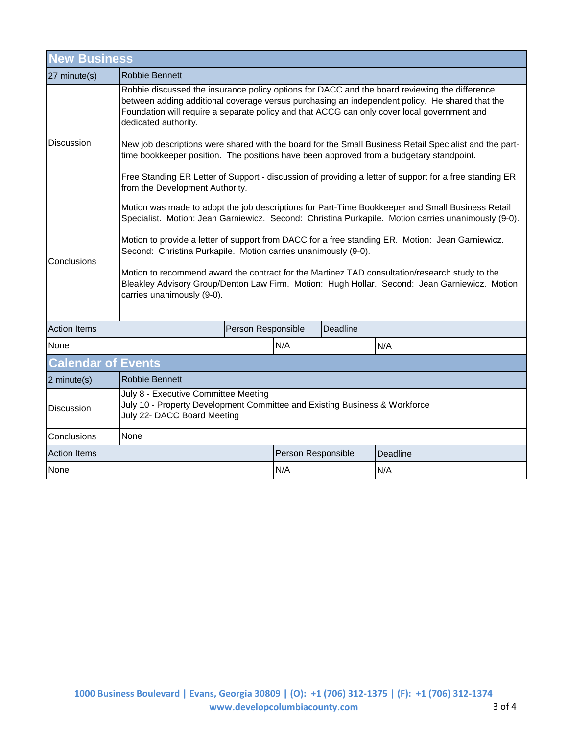| <b>New Business</b>       |                                                                                                                                                                                                                                                                                                                                                                                                                                                                                                                                                                                                                                                                           |  |                    |          |          |  |  |
|---------------------------|---------------------------------------------------------------------------------------------------------------------------------------------------------------------------------------------------------------------------------------------------------------------------------------------------------------------------------------------------------------------------------------------------------------------------------------------------------------------------------------------------------------------------------------------------------------------------------------------------------------------------------------------------------------------------|--|--------------------|----------|----------|--|--|
| 27 minute(s)              | <b>Robbie Bennett</b>                                                                                                                                                                                                                                                                                                                                                                                                                                                                                                                                                                                                                                                     |  |                    |          |          |  |  |
| Discussion                | Robbie discussed the insurance policy options for DACC and the board reviewing the difference<br>between adding additional coverage versus purchasing an independent policy. He shared that the<br>Foundation will require a separate policy and that ACCG can only cover local government and<br>dedicated authority.<br>New job descriptions were shared with the board for the Small Business Retail Specialist and the part-<br>time bookkeeper position. The positions have been approved from a budgetary standpoint.<br>Free Standing ER Letter of Support - discussion of providing a letter of support for a free standing ER<br>from the Development Authority. |  |                    |          |          |  |  |
| Conclusions               | Motion was made to adopt the job descriptions for Part-Time Bookkeeper and Small Business Retail<br>Specialist. Motion: Jean Garniewicz. Second: Christina Purkapile. Motion carries unanimously (9-0).<br>Motion to provide a letter of support from DACC for a free standing ER. Motion: Jean Garniewicz.<br>Second: Christina Purkapile. Motion carries unanimously (9-0).<br>Motion to recommend award the contract for the Martinez TAD consultation/research study to the<br>Bleakley Advisory Group/Denton Law Firm. Motion: Hugh Hollar. Second: Jean Garniewicz. Motion<br>carries unanimously (9-0).                                                            |  |                    |          |          |  |  |
| <b>Action Items</b>       | Person Responsible                                                                                                                                                                                                                                                                                                                                                                                                                                                                                                                                                                                                                                                        |  |                    | Deadline |          |  |  |
| None                      |                                                                                                                                                                                                                                                                                                                                                                                                                                                                                                                                                                                                                                                                           |  | N/A                |          | N/A      |  |  |
| <b>Calendar of Events</b> |                                                                                                                                                                                                                                                                                                                                                                                                                                                                                                                                                                                                                                                                           |  |                    |          |          |  |  |
| 2 minute(s)               | <b>Robbie Bennett</b>                                                                                                                                                                                                                                                                                                                                                                                                                                                                                                                                                                                                                                                     |  |                    |          |          |  |  |
| Discussion                | July 8 - Executive Committee Meeting<br>July 10 - Property Development Committee and Existing Business & Workforce<br>July 22- DACC Board Meeting                                                                                                                                                                                                                                                                                                                                                                                                                                                                                                                         |  |                    |          |          |  |  |
| Conclusions               | None                                                                                                                                                                                                                                                                                                                                                                                                                                                                                                                                                                                                                                                                      |  |                    |          |          |  |  |
| <b>Action Items</b>       |                                                                                                                                                                                                                                                                                                                                                                                                                                                                                                                                                                                                                                                                           |  | Person Responsible |          | Deadline |  |  |
| None                      | N/A<br>N/A                                                                                                                                                                                                                                                                                                                                                                                                                                                                                                                                                                                                                                                                |  |                    |          |          |  |  |